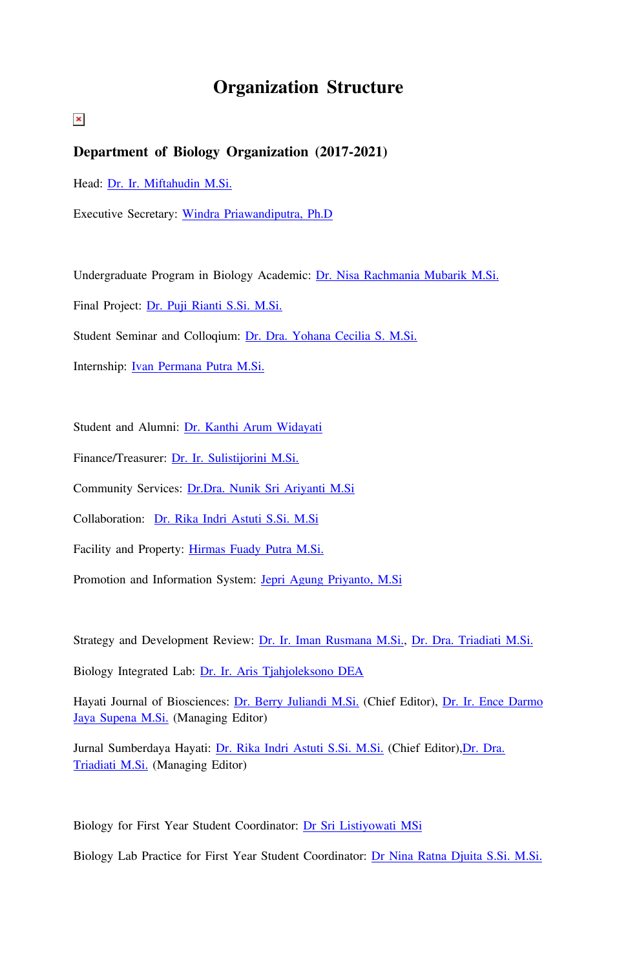# **Organization Structure**

 $\pmb{\times}$ 

# **Department of Biology Organization (2017-2021)**

Head: [Dr. Ir. Miftahudin M.Si.](http://biologi.ipb.ac.id/web/en/faculty/profile/38/miftahudin)

Executive Secretary: [W](http://biologi.ipb.ac.id/web/en/faculty/profile/48/berry-juliandi)[indra Priawandiputra, Ph.D](https://biologi.ipb.ac.id/web/id/dosen/profil/650/windra-priawandiputra)

Undergraduate Program in Biology Academic: [Dr. Nisa Rachmania Mubarik M.Si.](http://biologi.ipb.ac.id/web/en/faculty/profile/11/nisa-rachmania-mubarik)

Final Project: [Dr. Puji Rianti S.Si. M.Si.](http://biologi.ipb.ac.id/web/en/faculty/profile/54/puji-rianti)

Student Seminar and Colloqium: [Dr. Dra. Yohana Cecilia S. M.Si.](http://biologi.ipb.ac.id/web/en/faculty/profile/28/yohana-cecilia-s)

Internship: [Ivan Permana Putra M.Si.](http://biologi.ipb.ac.id/web/en/faculty/profile/649/ivan-permana-putra)

Student and Alumni: [Dr. Kanthi Arum Widayati](http://biologi.ipb.ac.id/web/en/faculty/profile/47/kanthi-arum-widayati)

Finance/Treasurer: [Dr. Ir. Sulistijorini M.Si.](http://biologi.ipb.ac.id/web/en/faculty/profile/29/sulistijorini)

Community Services: [Dr.Dra. Nunik Sri Ariyanti M.Si](https://biologi.ipb.ac.id/web/en/faculty/profile/24/nunik-sri-ariyanti)

Collaboration: [Dr. Rika Indri Astuti S.Si. M.Si](http://biologi.ipb.ac.id/web/en/faculty/profile/17/rika-indri-astuti)

Facility and Property: [Hirmas Fuady Putra M.Si.](http://biologi.ipb.ac.id/web/en/faculty/profile/652/hirmas-fuady-putra)

Promotion and Information System: [Jepri Agung Priyanto, M.Si](https://biologi.ipb.ac.id/web/id/dosen/profil/1774/jepri-agung-priyanto)

Strategy and Development Review: [Dr. Ir. Iman Rusmana M.Si.,](http://biologi.ipb.ac.id/web/en/faculty/profile/12/iman-rusmana) [Dr. Dra. Triadiati M.Si.](http://biologi.ipb.ac.id/web/en/faculty/profile/41/triadiati)

Biology Integrated Lab: [Dr. Ir. Aris Tjahjoleksono DEA](http://biologi.ipb.ac.id/web/en/faculty/profile/34/aris-tjahjoleksono)

Hayati Journal of Biosciences: [Dr. Berry Juliandi M.Si.](http://biologi.ipb.ac.id/web/en/faculty/profile/48/berry-juliandi) (Chief Editor), [Dr. Ir. Ence Darmo](http://biologi.ipb.ac.id/web/en/faculty/profile/35/ence-darmo-jaya-supena) [Jaya Supena M.Si.](http://biologi.ipb.ac.id/web/en/faculty/profile/35/ence-darmo-jaya-supena) (Managing Editor)

Jurnal Sumberdaya Hayati: [Dr. Rika Indri Astuti S.Si. M.Si.](http://biologi.ipb.ac.id/web/en/faculty/profile/17/rika-indri-astuti) (Chief Editor)[,Dr. Dra.](http://biologi.ipb.ac.id/web/en/faculty/profile/41/triadiati) [Triadiati M.Si.](http://biologi.ipb.ac.id/web/en/faculty/profile/41/triadiati) (Managing Editor)

Biology for First Year Student Coordinator: [Dr Sri Listiyowati MSi](http://biologi.ipb.ac.id/web/en/faculty/profile/22/sri-listiyowati)

Biology Lab Practice for First Year Student Coordinator: [Dr Nina Ratna Djuita S.Si. M.Si.](http://biologi.ipb.ac.id/web/en/faculty/profile/25/nina-ratna-djuita)